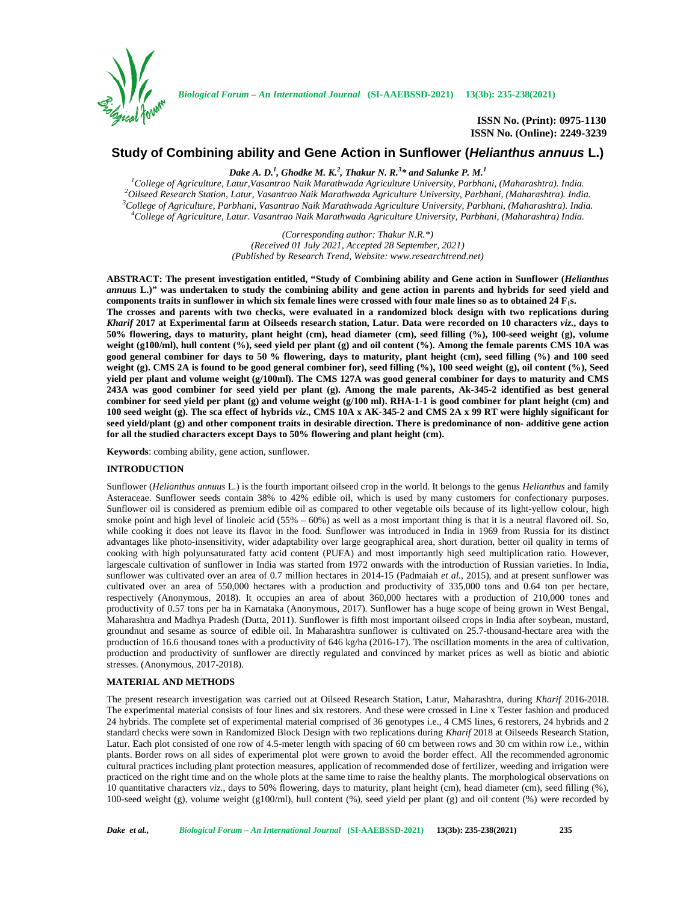

**ISSN No. (Print): 0975-1130 ISSN No. (Online): 2249-3239**

# **Study of Combining ability and Gene Action in Sunflower (***Helianthus annuus* **L.)**

*Dake A. D.<sup>1</sup> , Ghodke M. K.<sup>2</sup> , Thakur N. R.<sup>3</sup>\* and Salunke P. M.<sup>1</sup>*

 $^{1}$ College of Agriculture, Latur, Vasantrao Naik Marathwada Agriculture University, Parbhani, (Maharashtra). India.<br>
<sup>2</sup>Oilseed Research Station, Latur, Vasantrao Naik Marathwada Agriculture University, Parbhani, (Mahar

*(Corresponding author: Thakur N.R.\*) (Received 01 July 2021, Accepted 28 September, 2021) (Published by Research Trend, Website: [www.researchtrend.net\)](www.researchtrend.net)*

**ABSTRACT: The present investigation entitled, "Study of Combining ability and Gene action in Sunflower (***Helianthus annuus* **L.)" was undertaken to study the combining ability and gene action in parents and hybrids for seed yield and components traits in sunflower in which six female lines were crossed with four male lines so as to obtained 24 F1s. The crosses and parents with two checks, were evaluated in a randomized block design with two replications during** *Kharif* **2017 at Experimental farm at Oilseeds research station, Latur. Data were recorded on 10 characters** *viz***., days to 50% flowering, days to maturity, plant height (cm), head diameter (cm), seed filling (%), 100-seed weight (g), volume weight (g100/ml), hull content (%), seed yield per plant (g) and oil content (%). Among the female parents CMS 10A was good general combiner for days to 50 % flowering, days to maturity, plant height (cm), seed filling (%) and 100 seed weight (g). CMS 2A is found to be good general combiner for), seed filling (%), 100 seed weight (g), oil content (%), Seed yield per plant and volume weight (g/100ml). The CMS 127A was good general combiner for days to maturity and CMS 243A was good combiner for seed yield per plant (g). Among the male parents, Ak-345-2 identified as best general combiner for seed yield per plant (g) and volume weight (g/100 ml). RHA-1-1 is good combiner for plant height (cm) and 100 seed weight (g). The sca effect of hybrids** *viz***., CMS 10A x AK-345-2 and CMS 2A x 99 RT were highly significant for seed yield/plant (g) and other component traits in desirable direction. There is predominance of non- additive gene action for all the studied characters except Days to 50% flowering and plant height (cm).**

**Keywords**: combing ability, gene action, sunflower.

## **INTRODUCTION**

Sunflower (*Helianthus annuus* L.) is the fourth important oilseed crop in the world. It belongs to the genus *Helianthus* and family Asteraceae. Sunflower seeds contain 38% to 42% edible oil, which is used by many customers for confectionary purposes. Sunflower oil is considered as premium edible oil as compared to other vegetable oils because of its light-yellow colour, high smoke point and high level of linoleic acid (55% – 60%) as well as a most important thing is that it is a neutral flavored oil. So, while cooking it does not leave its flavor in the food. Sunflower was introduced in India in 1969 from Russia for its distinct advantages like photo-insensitivity, wider adaptability over large geographical area, short duration, better oil quality in terms of cooking with high polyunsaturated fatty acid content (PUFA) and most importantly high seed multiplication ratio. However, largescale cultivation of sunflower in India was started from 1972 onwards with the introduction of Russian varieties. In India, sunflower was cultivated over an area of 0.7 million hectares in 2014-15 (Padmaiah *et al.,* 2015), and at present sunflower was cultivated over an area of 550,000 hectares with a production and productivity of 335,000 tons and 0.64 ton per hectare, respectively (Anonymous, 2018). It occupies an area of about 360,000 hectares with a production of 210,000 tones and productivity of 0.57 tons per ha in Karnataka (Anonymous, 2017). Sunflower has a huge scope of being grown in West Bengal, Maharashtra and Madhya Pradesh (Dutta, 2011). Sunflower is fifth most important oilseed crops in India after soybean, mustard, groundnut and sesame as source of edible oil. In Maharashtra sunflower is cultivated on 25.7-thousand-hectare area with the production of 16.6 thousand tones with a productivity of 646 kg/ha (2016-17). The oscillation moments in the area of cultivation, production and productivity of sunflower are directly regulated and convinced by market prices as well as biotic and abiotic stresses. (Anonymous, 2017-2018).

# **MATERIAL AND METHODS**

The present research investigation was carried out at Oilseed Research Station, Latur, Maharashtra, during *Kharif* 2016-2018. The experimental material consists of four lines and six restorers. And these were crossed in Line x Tester fashion and produced 24 hybrids. The complete set of experimental material comprised of 36 genotypes i.e., 4 CMS lines, 6 restorers, 24 hybrids and 2 standard checks were sown in Randomized Block Design with two replications during *Kharif* 2018 at Oilseeds Research Station, Latur. Each plot consisted of one row of 4.5-meter length with spacing of 60 cm between rows and 30 cm within row i.e., within plants. Border rows on all sides of experimental plot were grown to avoid the border effect. All the recommended agronomic cultural practices including plant protection measures, application of recommended dose of fertilizer, weeding and irrigation were practiced on the right time and on the whole plots at the same time to raise the healthy plants. The morphological observations on 10 quantitative characters *viz*., days to 50% flowering, days to maturity, plant height (cm), head diameter (cm), seed filling (%), 100-seed weight (g), volume weight (g100/ml), hull content (%), seed yield per plant (g) and oil content (%) were recorded by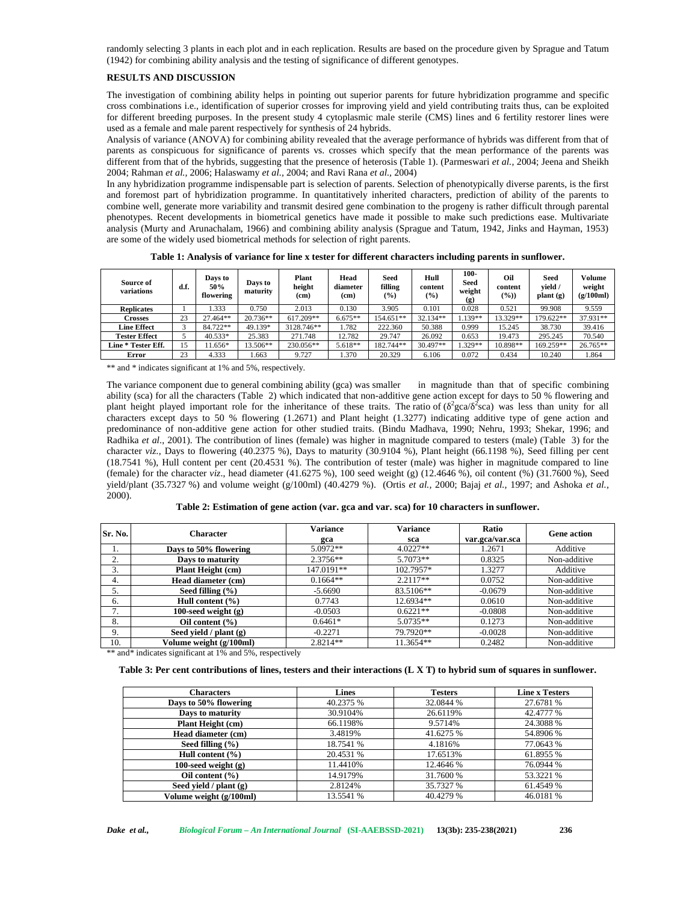randomly selecting 3 plants in each plot and in each replication. Results are based on the procedure given by Sprague and Tatum (1942) for combining ability analysis and the testing of significance of different genotypes.

# **RESULTS AND DISCUSSION**

The investigation of combining ability helps in pointing out superior parents for future hybridization programme and specific cross combinations i.e., identification of superior crosses for improving yield and yield contributing traits thus, can be exploited for different breeding purposes. In the present study 4 cytoplasmic male sterile (CMS) lines and 6 fertility restorer lines were used as a female and male parent respectively for synthesis of 24 hybrids.

Analysis of variance (ANOVA) for combining ability revealed that the average performance of hybrids was different from that of parents as conspicuous for significance of parents vs. crosses which specify that the mean performance of the parents was different from that of the hybrids, suggesting that the presence of heterosis (Table 1). (Parmeswari *et al.,* 2004; Jeena and Sheikh 2004; Rahman *et al.,* 2006; Halaswamy *et al.,* 2004; and Ravi Rana *et al.,* 2004)

In any hybridization programme indispensable part is selection of parents. Selection of phenotypically diverse parents, is the first and foremost part of hybridization programme. In quantitatively inherited characters, prediction of ability of the parents to combine well, generate more variability and transmit desired gene combination to the progeny is rather difficult through parental phenotypes. Recent developments in biometrical genetics have made it possible to make such predictions ease. Multivariate analysis (Murty and Arunachalam, 1966) and combining ability analysis (Sprague and Tatum, 1942, Jinks and Hayman, 1953) are some of the widely used biometrical methods for selection of right parents.

**Table 1: Analysis of variance for line x tester for different characters including parents in sunflower.**

| Source of<br>variations | d.f. | Days to<br>50%<br>flowering | Days to<br>maturity | Plant<br>height<br>(cm) | Head<br>diameter<br>(cm) | Seed<br>filling<br>$($ %) | Hull<br>content<br>$(\%)$ | 100-<br>Seed<br>weight<br>$\left( \mathbf{g} \right)$ | Oil<br>content<br>$(\%)$ | Seed<br>vield /<br>plant(g) | Volume<br>weight<br>(g/100ml) |
|-------------------------|------|-----------------------------|---------------------|-------------------------|--------------------------|---------------------------|---------------------------|-------------------------------------------------------|--------------------------|-----------------------------|-------------------------------|
| <b>Replicates</b>       |      | .333                        | 0.750               | 2.013                   | 0.130                    | 3.905                     | 0.101                     | 0.028                                                 | 0.521                    | 99.908                      | 9.559                         |
| Crosses                 | 23   | 27.464**                    | 20.736**            | 617.209**               | $6.675**$                | 154.651**                 | 32.134**                  | $.139**$                                              | 13.329**                 | 179.622**                   | 37.931**                      |
| <b>Line Effect</b>      |      | 84.722**                    | 49.139*             | 3128.746**              | 1.782                    | 222.360                   | 50.388                    | 0.999                                                 | 15.245                   | 38.730                      | 39.416                        |
| <b>Tester Effect</b>    |      | $40.533*$                   | 25.383              | 271.748                 | 12.782                   | 29.747                    | 26.092                    | 0.653                                                 | 19.473                   | 295.245                     | 70.540                        |
| Line * Tester Eff.      | 15   | $1.656*$                    | 13.506**            | 230.056**               | $5.618**$                | 182.744**                 | 30.497**                  | $.329**$                                              | 10.898**                 | 169.259**                   | $26.765**$                    |
| Error                   | 23   | 4.333                       | .663                | 9.727                   | .370                     | 20.329                    | 6.106                     | 0.072                                                 | 0.434                    | 10.240                      | 1.864                         |

\*\* and \* indicates significant at 1% and 5%, respectively.

The variance component due to general combining ability (gca) was smaller in magnitude than that of specific combining ability (sca) for all the characters (Table 2) which indicated that non-additive gene action except for days to 50 % flowering and plant height played important role for the inheritance of these traits. The ratio of ( $\frac{2}{3}$ ca) was less than unity for all characters except days to 50 % flowering (1.2671) and Plant height (1.3277) indicating additive type of gene action and predominance of non-additive gene action for other studied traits. (Bindu Madhava, 1990; Nehru, 1993; Shekar, 1996; and Radhika *et al*., 2001). The contribution of lines (female) was higher in magnitude compared to testers (male) (Table 3) for the character *viz.,* Days to flowering (40.2375 %), Days to maturity (30.9104 %), Plant height (66.1198 %), Seed filling per cent (18.7541 %), Hull content per cent (20.4531 %). The contribution of tester (male) was higher in magnitude compared to line (female) for the character *viz*., head diameter (41.6275 %), 100 seed weight (g) (12.4646 %), oil content (%) (31.7600 %), Seed yield/plant (35.7327 %) and volume weight (g/100ml) (40.4279 %). (Ortis *et al.*, 2000; Bajaj *et al.*, 1997; and Ashoka *et al.*, 2000).

**Table 2: Estimation of gene action (var. gca and var. sca) for 10 characters in sunflower.**

| Sr. No.      | Character                 | <b>Variance</b> | <b>Variance</b> | Ratio           | <b>Gene action</b><br>Additive<br>Non-additive<br>Additive<br>Non-additive<br>Non-additive<br>Non-additive<br>Non-additive<br>Non-additive<br>Non-additive |
|--------------|---------------------------|-----------------|-----------------|-----------------|------------------------------------------------------------------------------------------------------------------------------------------------------------|
|              |                           | gca             | sca             | var.gca/var.sca |                                                                                                                                                            |
| .,           | Days to 50% flowering     | $5.0972**$      | $4.0227**$      | 1.2671          |                                                                                                                                                            |
| $\sim$<br>z. | Days to maturity          | $2.3756**$      | $5.7073**$      | 0.8325          |                                                                                                                                                            |
| 3.           | Plant Height (cm)         | 147.0191**      | 102.7957*       | 1.3277          |                                                                                                                                                            |
| 4.           | Head diameter (cm)        | $0.1664**$      | $2.2117**$      | 0.0752          |                                                                                                                                                            |
| 5.           | Seed filling $(\% )$      | $-5.6690$       | 83.5106**       | $-0.0679$       |                                                                                                                                                            |
| 6.           | Hull content $(\% )$      | 0.7743          | 12.6934**       | 0.0610          |                                                                                                                                                            |
| 7.           | 100-seed weight $(g)$     | $-0.0503$       | $0.6221**$      | $-0.0808$       |                                                                                                                                                            |
| 8.           | Oil content $(\% )$       | $0.6461*$       | $5.0735**$      | 0.1273          |                                                                                                                                                            |
| 9.           | Seed yield / $plan{t(g)}$ | $-0.2271$       | 79.7920**       | $-0.0028$       |                                                                                                                                                            |
| 10.          | Volume weight (g/100ml)   | 2.8214**        | 11.3654**       | 0.2482          | Non-additive                                                                                                                                               |

\*\* and\* indicates significant at 1% and 5%, respectively

#### **Table 3: Per cent contributions of lines, testers and their interactions (L X T) to hybrid sum of squares in sunflower.**

| <b>Characters</b>        | Lines     | <b>Testers</b> | <b>Line x Testers</b> |
|--------------------------|-----------|----------------|-----------------------|
| Days to 50% flowering    | 40.2375 % | 32.0844 %      | 27.6781 %             |
| Days to maturity         | 30.9104%  | 26.6119%       | 42.4777 %             |
| <b>Plant Height (cm)</b> | 66.1198%  | 9.5714%        | 24.3088 %             |
| Head diameter (cm)       | 3.4819%   | 41.6275 %      | 54.8906 %             |
| Seed filling $(\% )$     | 18.7541 % | 4.1816%        | 77.0643 %             |
| Hull content $(\% )$     | 20.4531 % | 17.6513%       | 61.8955 %             |
| 100-seed weight $(g)$    | 11.4410%  | 12.4646 %      | 76.0944 %             |
| Oil content $(\% )$      | 14.9179%  | 31.7600 %      | 53.3221 %             |
| Seed vield / $plan (g)$  | 2.8124%   | 35.7327 %      | 61.4549 %             |
| Volume weight (g/100ml)  | 13.5541 % | 40.4279 %      | 46.0181 %             |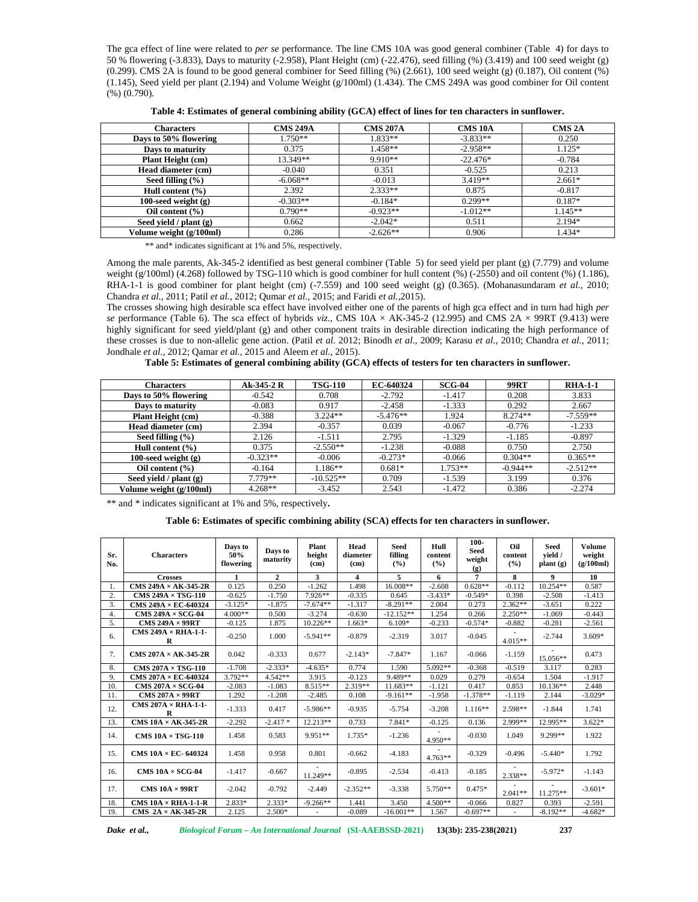The gca effect of line were related to *per se* performance. The line CMS 10A was good general combiner (Table 4) for days to 50 % flowering (-3.833), Days to maturity (-2.958), Plant Height (cm) (-22.476), seed filling (%) (3.419) and 100 seed weight (g)  $(0.299)$ . CMS 2A is found to be good general combiner for Seed filling  $(\%)$  (2.661), 100 seed weight (g) (0.187), Oil content (%) (1.145), Seed yield per plant (2.194) and Volume Weight (g/100ml) (1.434). The CMS 249A was good combiner for Oil content (%) (0.790).

| Table 4: Estimates of general combining ability (GCA) effect of lines for ten characters in sunflower. |  |
|--------------------------------------------------------------------------------------------------------|--|
|--------------------------------------------------------------------------------------------------------|--|

| <b>Characters</b>        | <b>CMS 249A</b> | <b>CMS 207A</b> | <b>CMS 10A</b> | <b>CMS 2A</b> |
|--------------------------|-----------------|-----------------|----------------|---------------|
| Days to 50% flowering    | $1.750**$       | $1.833**$       | $-3.833**$     | 0.250         |
| Days to maturity         | 0.375           | $1.458**$       | $-2.958**$     | 1.125*        |
| <b>Plant Height (cm)</b> | 13.349**        | $9.910**$       | $-22.476*$     | $-0.784$      |
| Head diameter (cm)       | -0.040          | 0.351           | $-0.525$       | 0.213         |
| Seed filling $(\% )$     | $-6.068**$      | $-0.013$        | $3.419**$      | $2.661*$      |
| Hull content $(\% )$     | 2.392           | $2.333**$       | 0.875          | $-0.817$      |
| $100$ -seed weight $(g)$ | $-0.303**$      | $-0.184*$       | $0.299**$      | $0.187*$      |
| Oil content $(\% )$      | $0.790**$       | $-0.923**$      | $-1.012**$     | $1.145**$     |
| Seed vield / $plan (g)$  | 0.662           | $-2.042*$       | 0.511          | 2.194*        |
| Volume weight (g/100ml)  | 0.286           | $-2.626**$      | 0.906          | 1.434*        |

\*\* and\* indicates significant at 1% and 5%, respectively.

Among the male parents, Ak-345-2 identified as best general combiner (Table 5) for seed yield per plant (g) (7.779) and volume weight (g/100ml) (4.268) followed by TSG-110 which is good combiner for hull content (%) (-2550) and oil content (%) (1.186), RHA-1-1 is good combiner for plant height (cm) (-7.559) and 100 seed weight (g) (0.365). (Mohanasundaram *et al.,* 2010; Chandra *et al.,* 2011; Patil *et al.,* 2012; Qumar *et al.,* 2015; and Faridi *et al.,*2015).

The crosses showing high desirable sca effect have involved either one of the parents of high gca effect and in turn had high *per se* performance (Table 6). The sca effect of hybrids *viz*., CMS 10A × AK-345-2 (12.995) and CMS 2A × 99RT (9.413) were highly significant for seed yield/plant (g) and other component traits in desirable direction indicating the high performance of these crosses is due to non-allelic gene action. (Patil *et al.* 2012; Binodh *et al.,* 2009; Karasu *et al.,* 2010; Chandra *et al.,* 2011; Jondhale *et al.,* 2012; Qamar *et al.,* 2015 and Aleem *et al.,* 2015).

**Table 5: Estimates of general combining ability (GCA) effects of testers for ten characters in sunflower.**

| Characters                | Ak-345-2 R | <b>TSG-110</b> | EC-640324  | $SCG-04$  | <b>99RT</b> | <b>RHA-1-1</b> |
|---------------------------|------------|----------------|------------|-----------|-------------|----------------|
| Days to 50% flowering     | $-0.542$   | 0.708          | $-2.792$   | $-1.417$  | 0.208       | 3.833          |
| Days to maturity          | $-0.083$   | 0.917          | $-2.458$   | $-1.333$  | 0.292       | 2.667          |
| <b>Plant Height (cm)</b>  | $-0.388$   | $3.224**$      | $-5.476**$ | 1.924     | $8.274**$   | $-7.559**$     |
| Head diameter (cm)        | 2.394      | $-0.357$       | 0.039      | $-0.067$  | $-0.776$    | $-1.233$       |
| Seed filling $(\% )$      | 2.126      | $-1.511$       | 2.795      | $-1.329$  | $-1.185$    | $-0.897$       |
| Hull content $(\% )$      | 0.375      | $-2.550**$     | $-1.238$   | $-0.088$  | 0.750       | 2.750          |
| 100-seed weight $(g)$     | $-0.323**$ | $-0.006$       | $-0.273*$  | $-0.066$  | $0.304**$   | $0.365**$      |
| Oil content $(\% )$       | $-0.164$   | $1.186**$      | $0.681*$   | $1.753**$ | $-0.944**$  | $-2.512**$     |
| Seed vield / $plan{t}(g)$ | $7.779**$  | $-10.525**$    | 0.709      | $-1.539$  | 3.199       | 0.376          |
| Volume weight (g/100ml)   | $4.268**$  | $-3.452$       | 2.543      | $-1.472$  | 0.386       | $-2.274$       |

\*\* and \* indicates significant at 1% and 5%, respectively**.**

### **Table 6: Estimates of specific combining ability (SCA) effects for ten characters in sunflower.**

| Sr.<br>No. | <b>Characters</b>               | Days to<br>50%<br>flowering | Days to<br>maturity | Plant<br>height<br>(c <sub>m</sub> ) | Head<br>diameter<br>(cm) | <b>Seed</b><br>filling<br>$($ %) | Hull<br>content<br>(%) | $100 -$<br><b>Seed</b><br>weight<br>(g) | Oil<br>content<br>(%) | <b>Seed</b><br>vield /<br>plant(g) | Volume<br>weight<br>(g/100ml) |
|------------|---------------------------------|-----------------------------|---------------------|--------------------------------------|--------------------------|----------------------------------|------------------------|-----------------------------------------|-----------------------|------------------------------------|-------------------------------|
|            | <b>Crosses</b>                  |                             | $\mathbf{2}$        | 3                                    | $\overline{\mathbf{4}}$  | 5                                | 6                      | 7                                       | 8                     | 9                                  | 10                            |
| 1.         | CMS $249A \times AK-345-2R$     | 0.125                       | 0.250               | $-1.262$                             | 1.498                    | 16.008**                         | $-2.608$               | $0.628**$                               | $-0.112$              | $10.254**$                         | 0.587                         |
| 2.         | $CMS 249A \times TSG-110$       | $-0.625$                    | $-1.750$            | 7.926**                              | $-0.335$                 | 0.645                            | $-3.433*$              | $-0.549*$                               | 0.398                 | $-2.508$                           | $-1.413$                      |
| 3.         | CMS $249A \times EC$ 640324     | $-3.125*$                   | $-1.875$            | $-7.674**$                           | $-1.317$                 | $-8.291**$                       | 2.004                  | 0.273                                   | $2.362**$             | $-3.651$                           | 0.222                         |
| 4.         | $CMS 249A \times SCG-04$        | $4.000**$                   | 0.500               | $-3.274$                             | $-0.630$                 | $-12.152**$                      | 1.254                  | 0.266                                   | $2.250**$             | $-1.069$                           | $-0.443$                      |
| 5.         | CMS $249A \times 99RT$          | $-0.125$                    | 1.875               | $10.226**$                           | 1.663*                   | $6.109*$                         | $-0.233$               | $-0.574*$                               | $-0.882$              | $-0.281$                           | $-2.561$                      |
| 6.         | CMS $249A \times RHA-1-1$<br>R  | $-0.250$                    | 1.000               | $-5.941**$                           | $-0.879$                 | $-2.319$                         | 3.017                  | $-0.045$                                | $4.015**$             | $-2.744$                           | $3.609*$                      |
| 7.         | CMS $207A \times AK - 345 - 2R$ | 0.042                       | $-0.333$            | 0.677                                | $-2.143*$                | $-7.847*$                        | 1.167                  | $-0.066$                                | $-1.159$              | 15.056**                           | 0.473                         |
| 8.         | CMS $207A \times TSG-110$       | $-1.708$                    | $-2.333*$           | $-4.635*$                            | 0.774                    | 1.590                            | $5.092**$              | $-0.368$                                | $-0.519$              | 3.117                              | 0.283                         |
| 9.         | CMS 207A × EC-640324            | 3.792**                     | $4.542**$           | 3.915                                | $-0.123$                 | 9.489**                          | 0.029                  | 0.279                                   | $-0.654$              | 1.504                              | $-1.917$                      |
| 10.        | $CMS 207A \times SCG-04$        | $-2.083$                    | $-1.083$            | 8.515**                              | 2.319**                  | $11.683**$                       | $-1.121$               | 0.417                                   | 0.853                 | $10.136**$                         | 2.448                         |
| 11.        | CMS $207A \times 99RT$          | 1.292                       | $-1.208$            | $-2.485$                             | 0.108                    | $-9.161**$                       | $-1.958$               | $-1.378**$                              | $-1.119$              | 2.144                              | $-3.029*$                     |
| 12.        | CMS $207A \times RHA-1-1$<br>R  | $-1.333$                    | 0.417               | $-5.986**$                           | $-0.935$                 | $-5.754$                         | $-3.208$               | $1.116**$                               | $2.598**$             | $-1.844$                           | 1.741                         |
| 13.        | $CMS 10A \times AK 345 2R$      | $-2.292$                    | $-2.417*$           | $12.213**$                           | 0.733                    | $7.841*$                         | $-0.125$               | 0.136                                   | 2.999**               | 12.995**                           | $3.622*$                      |
| 14.        | $CMS 10A \times TSG-110$        | 1.458                       | 0.583               | 9.951**                              | 1.735*                   | $-1.236$                         | $4.950**$              | $-0.030$                                | 1.049                 | 9.299**                            | 1.922                         |
| 15.        | CMS $10A \times EC - 640324$    | 1.458                       | 0.958               | 0.801                                | $-0.662$                 | $-4.183$                         | $4.763**$              | $-0.329$                                | $-0.496$              | $-5.440*$                          | 1.792                         |
| 16.        | CMS $10A \times SCG-04$         | $-1.417$                    | $-0.667$            | 11.249**                             | $-0.895$                 | $-2.534$                         | $-0.413$               | $-0.185$                                | 2.338**               | $-5.972*$                          | $-1.143$                      |
| 17.        | CMS $10A \times 99RT$           | $-2.042$                    | $-0.792$            | $-2.449$                             | $-2.352**$               | $-3.338$                         | $5.750**$              | $0.475*$                                | $2.041**$             | $11.275**$                         | $-3.601*$                     |
| 18.        | CMS $10A \times RHA-1-1-R$      | $2.833*$                    | $2.333*$            | $-9.266**$                           | 1.441                    | 3.450                            | $4.500**$              | $-0.066$                                | 0.827                 | 0.393                              | $-2.591$                      |
| 19.        | CMS $2A \times AK$ -345-2R      | 2.125                       | $2.500*$            | ٠                                    | $-0.089$                 | $-16.001**$                      | 1.567                  | $-0.697**$                              | ٠                     | $-8.192**$                         | $-4.682*$                     |